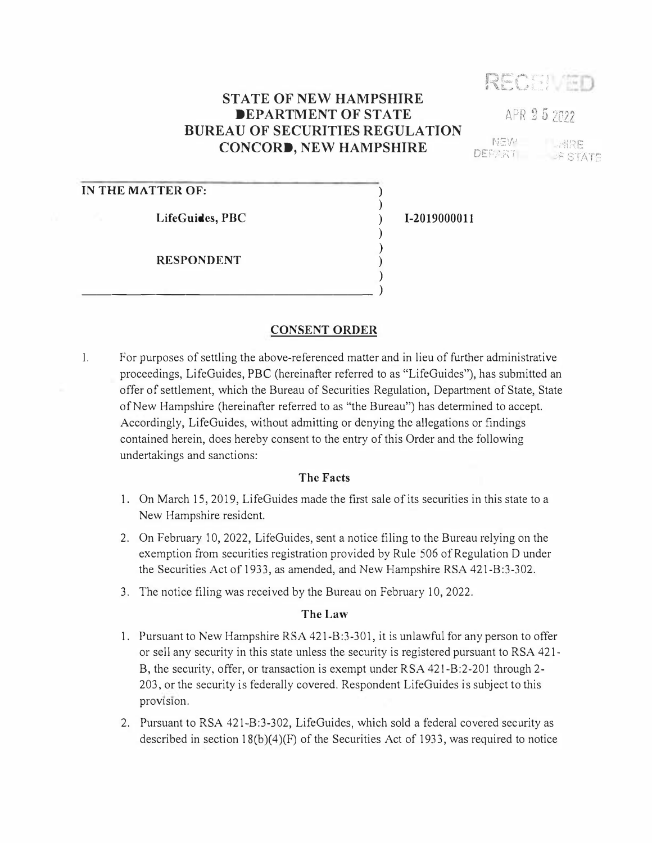# RECEI ED

# **STATE OF NEW HAMPSHIRE DEPARTMENT OF STATE BUREAU OF SECURITIES REGULATION CONCORD, NEW HAMPSHIRE**

 $N:V$ LARE DEFART **JF STATE** 

APR 25 2022

### **IN THE MATTER OF:**

**LifeGuides, PBC** 

**RESPONDENT** 

 $\overline{\phantom{a}}$ 

#### **CONSENT ORDER**

1. For purposes of settling the above-referenced matter and in lieu of further administrative proceedings, LifeGuides, PBC (hereinafter referred to as "LifeGuides"), has submitted an offer of settlement, which the Bureau of Securities Regulation, Department of State, State of New Hampshire (hereinafter referred to as "the Bureau") has determined to accept. Accordingly, LifeGuides, without admitting or denying the allegations or findings contained herein, does hereby consent to the entry of this Order and the following undertakings and sanctions:

#### **The Facts**

- 1. On March 15, 2019, LifeGuides made the first sale of its securities in this state to a New Hampshire resident.
- 2. On February 10, 2022, LifeGuides, sent a notice filing to the Bureau relying on the exemption from securities registration provided by Rule 506 of Regulation D under the Securities Act of 1933, as amended, and New Hampshire RSA 421-B:3-302.
- 3. The notice filing was received by the Bureau on February 10, 2022.

## **The Law**

- 1. Pursuant to New Hampshire RSA 421-B:3-301, it is unlawful for any person to offer or sell any security in this state unless the security is registered pursuant to RSA 421- B, the security, offer, or transaction is exempt under RSA 421-B:2-201 through 2- 203, or the security is federally covered. Respondent LifeGuides is subject to this provision.
- 2. Pursuant to RSA 421-B:3-302, LifeGuides, which sold a federal covered security as described in section  $18(b)(4)(F)$  of the Securities Act of 1933, was required to notice

**1-2019000011** 

) ) ) ) ) ) )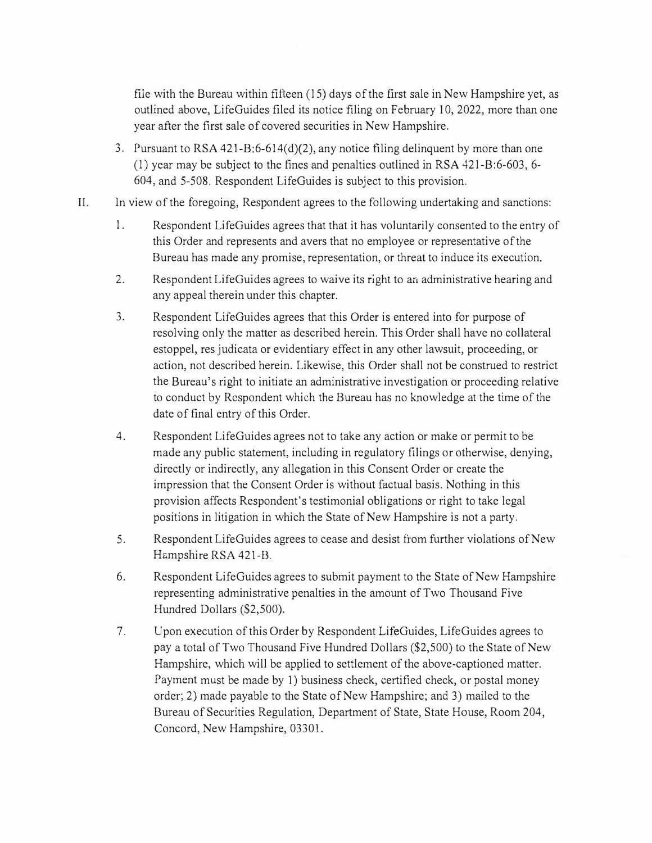**file with the Bureau within fifteen (15) days of the first sale in New Hampshire yet, as outlined above, LifeGuides filed its notice filing on February 10, 2022, more than one year after the first sale of covered securities in New Hampshire.** 

- **3. Pursuant to RSA 421-B:6-614(d)(2), any notice filing delinquent by more than one (1) year may be subject to the fines and penalties outlined in RSA 421-B:6-603, 6- 604, and 5-508. Respondent LifeGuides is subject to this provision.**
- **II. In view of the foregoing, Respondent agrees to the following undertaking and sanctions:** 
	- **1. Respondent LifeGuides agrees that that it has voluntarily consented to the entry of this Order and represents and avers that no employee or representative of the Bureau has made any promise, representation, or threat to induce its execution.**
	- **2. Respondent LifeGuides agrees to waive its right to an administrative hearing and any appeal therein under this chapter.**
	- **3. Respondent LifeGuides agrees that this Order is entered into for purpose of resolving only the matter as described herein. This Order shall have no collateral estoppel, res judicata or evidentiary effect in any other lawsuit, proceeding, or action, not described herein. Likewise, this Order shall not be construed to restrict the Bureau's right to initiate an administrative investigation or proceeding relative to conduct by Respondent which the Bureau has no knowledge at the time of the date of final entry of this Order.**
	- **4. Respondent LifeGuides agrees not to take any action or make or permit to be made any public statement, including in regulatory filings or otherwise, denying, directly or indirectly, any allegation in this Consent Order or create the impression that the Consent Order is without factual basis. Nothing in this provision affects Respondent's testimonial obligations or right to take legal positions in litigation in which the State of New Hampshire is not a party.**
	- **5. Respondent LifeGuides agrees to cease and desist from further violations of New Hampshire RSA 421-B.**
	- **6. Respondent LifeGuides agrees to submit payment to the State of New Hampshire representing administrative penalties in the amount of Two Thousand Five Hundred Dollars (\$2,500).**
	- **7. Upon execution of this Order by Respondent LifeGuides, LifeGuides agrees to pay a total of Two Thousand Five Hundred Dollars (\$2,500) to the State of New Hampshire, which will be applied to settlement of the above-captioned matter. Payment must be made by 1) business check, certified check, or postal money order; 2) made payable to the State of New Hampshire; and 3) mailed to the Bureau of Securities Regulation, Department of State, State House, Room 204, Concord, New Hampshire, 03301.**